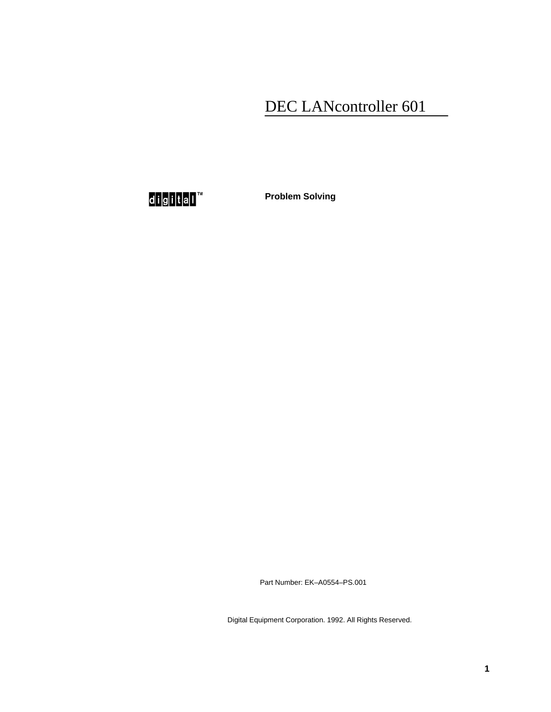## DEC LANcontroller 601

d<mark>ig</mark>ita∏™

**Problem Solving**

Part Number: EK–A0554–PS.001

Digital Equipment Corporation. 1992. All Rights Reserved.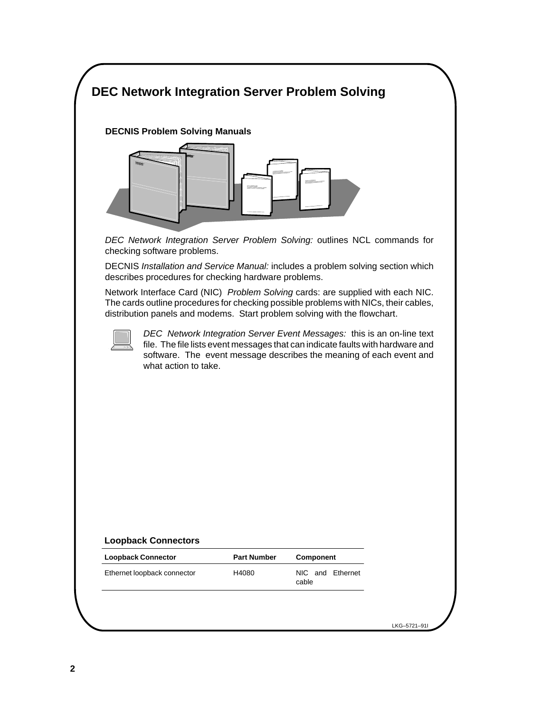## $\ddotsc$  is  $\ddotsc$ **DEC Network Integration Server Problem Solving**



DEC Network Integration Server Problem Solving: outlines NCL commands for checking software problems.

DECNIS Installation and Service Manual: includes a problem solving section which describes procedures for checking hardware problems.

Network Interface Card (NIC) Problem Solving cards: are supplied with each NIC. The cards outline procedures for checking possible problems with NICs, their cables, distribution panels and modems. Start problem solving with the flowchart.



DEC Network Integration Server Event Messages: this is an on-line text file. The file lists event messages that can indicate faults with hardware and software. The event message describes the meaning of each event and what action to take.

## **Loopback Connectors**

| <b>Loopback Connector</b>   | <b>Part Number</b> | Component                 |
|-----------------------------|--------------------|---------------------------|
| Ethernet loopback connector | H4080              | NIC and Ethernet<br>cable |

LKG–5721–91I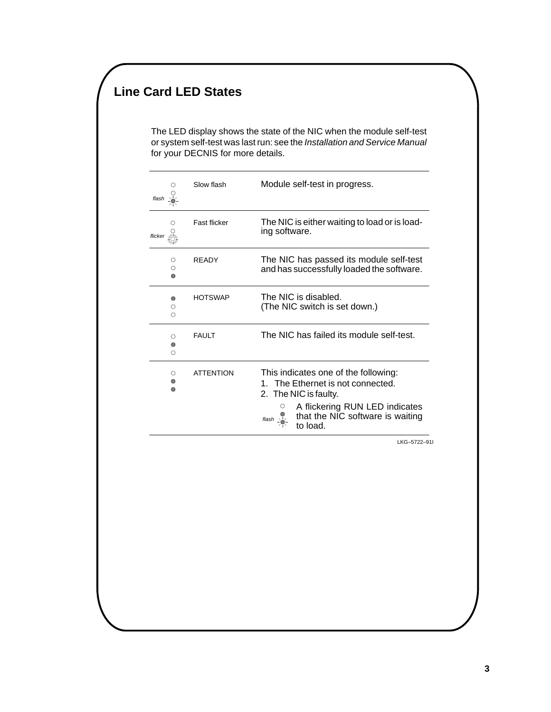## **Line Card LED States**

The LED display shows the state of the NIC when the module self-test or system self-test was last run: see the Installation and Service Manual for your DECNIS for more details.

| flash                   | Slow flash       | Module self-test in progress.                                                                                                                                                                                  |
|-------------------------|------------------|----------------------------------------------------------------------------------------------------------------------------------------------------------------------------------------------------------------|
| flicker <sub>≧</sub> ₩  | Fast flicker     | The NIC is either waiting to load or is load-<br>ing software.                                                                                                                                                 |
| ◯<br>O<br>∩             | <b>READY</b>     | The NIC has passed its module self-test<br>and has successfully loaded the software.                                                                                                                           |
| ◠<br>O<br>∩             | <b>HOTSWAP</b>   | The NIC is disabled.<br>(The NIC switch is set down.)                                                                                                                                                          |
| $\circ$<br>$\circ$<br>∩ | <b>FAULT</b>     | The NIC has failed its module self-test.                                                                                                                                                                       |
| O<br>$\circ$<br>∩       | <b>ATTENTION</b> | This indicates one of the following:<br>1. The Ethernet is not connected.<br>2. The NIC is faulty.<br>A flickering RUN LED indicates<br>that the NIC software is waiting<br>$\frac{1}{\sinh 2\pi}$<br>to load. |

LKG–5722–91I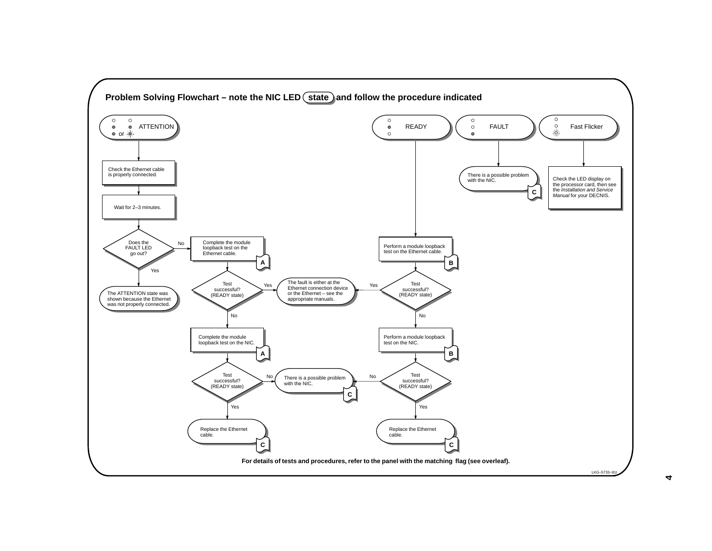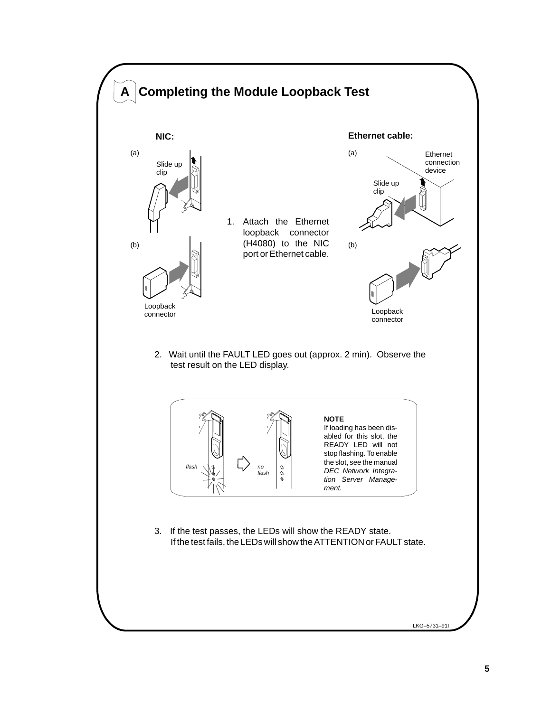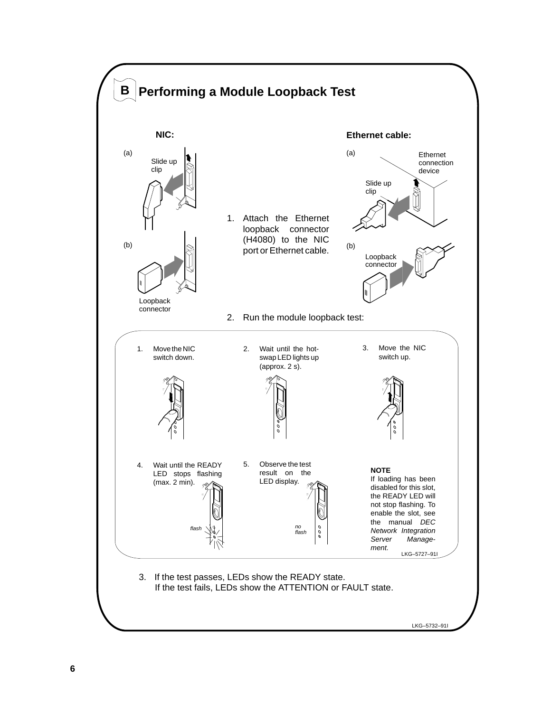